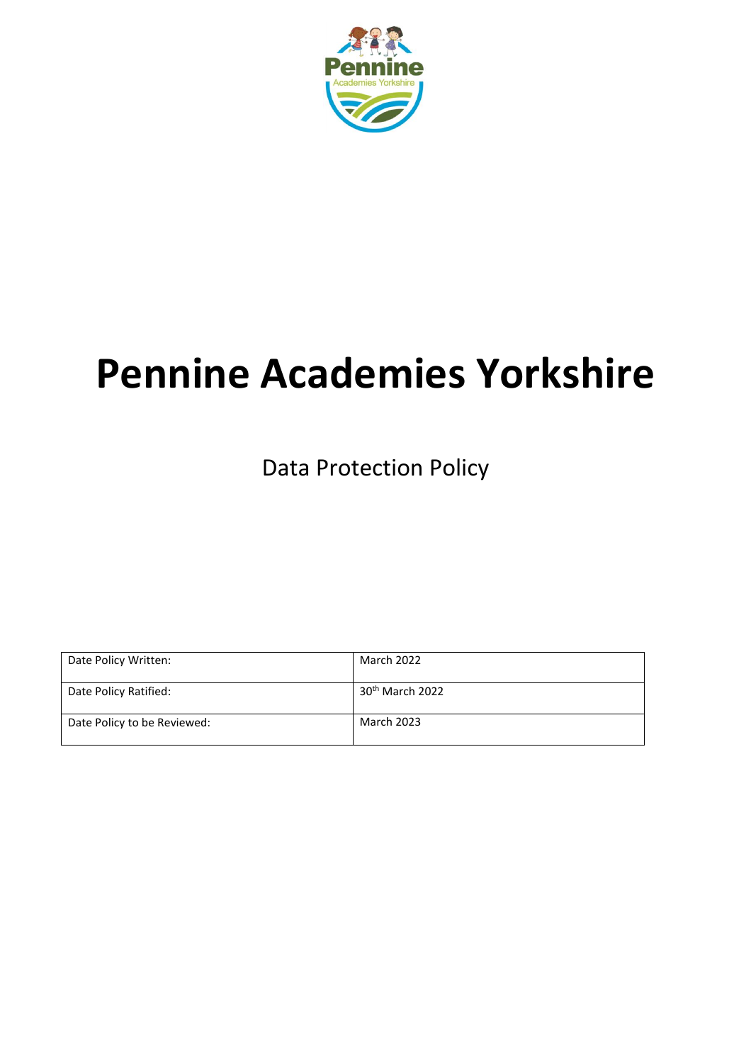

# **Pennine Academies Yorkshire**

Data Protection Policy

| Date Policy Written:        | March 2022                  |
|-----------------------------|-----------------------------|
| Date Policy Ratified:       | 30 <sup>th</sup> March 2022 |
| Date Policy to be Reviewed: | <b>March 2023</b>           |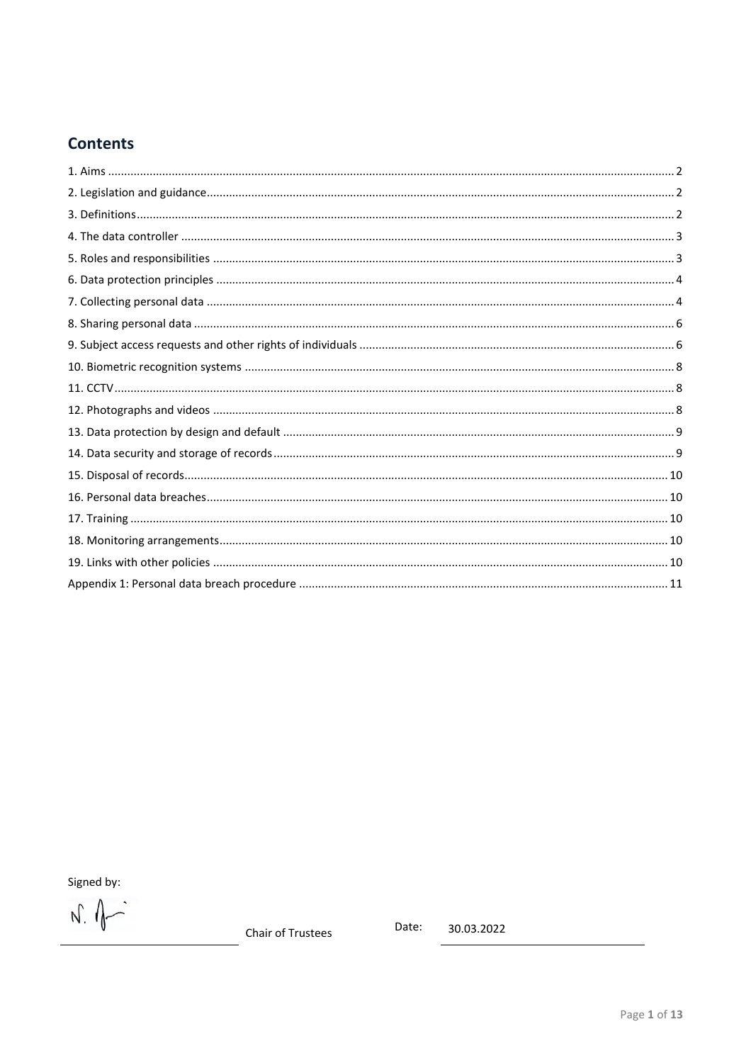# **Contents**

Signed by:

 $\begin{picture}(220,20) \put(0,0){\line(1,0){155}} \put(15,0){\line(1,0){155}} \put(15,0){\line(1,0){155}} \put(15,0){\line(1,0){155}} \put(15,0){\line(1,0){155}} \put(15,0){\line(1,0){155}} \put(15,0){\line(1,0){155}} \put(15,0){\line(1,0){155}} \put(15,0){\line(1,0){155}} \put(15,0){\line(1,0){155}} \put(15,0){\line(1,0){155}}$ 

Chair of Trustees

Date: 30.03.2022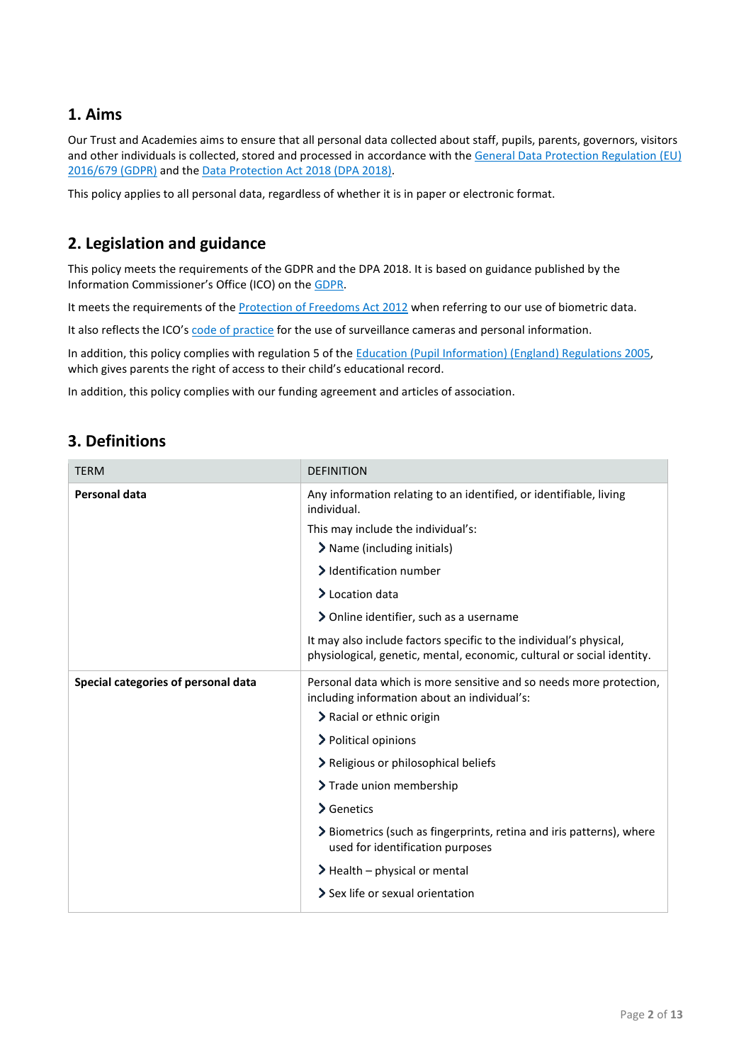## <span id="page-2-0"></span>**1. Aims**

Our Trust and Academies aims to ensure that all personal data collected about staff, pupils, parents, governors, visitors and other individuals is collected, stored and processed in accordance with the [General Data Protection Regulation](https://eur-lex.europa.eu/legal-content/EN/TXT/?qid=1528874672298&uri=CELEX:02016R0679-20160504) (EU) [2016/679](https://eur-lex.europa.eu/legal-content/EN/TXT/?qid=1528874672298&uri=CELEX:02016R0679-20160504) (GDPR) and the [Data Protection Act 2018 \(DPA 2018\).](http://www.legislation.gov.uk/ukpga/2018/12/contents/enacted) 

This policy applies to all personal data, regardless of whether it is in paper or electronic format.

# <span id="page-2-1"></span>**2. Legislation and guidance**

This policy meets the requirements of the GDPR and the DPA 2018. It is based on guidance published by the Information Commissioner's Office (ICO) on the [GDPR.](https://ico.org.uk/for-organisations/guide-to-the-general-data-protection-regulation-gdpr/)

It meets the requirements of the [Protection of Freedoms Act 2012](https://www.legislation.gov.uk/ukpga/2012/9/part/1/chapter/2) when referring to our use of biometric data.

It also reflects the ICO's [code of practice](https://ico.org.uk/media/for-organisations/documents/1542/cctv-code-of-practice.pdf) for the use of surveillance cameras and personal information.

In addition, this policy complies with regulation 5 of the [Education \(Pupil Information\) \(England\) Regulations 2005,](http://www.legislation.gov.uk/uksi/2005/1437/regulation/5/made) which gives parents the right of access to their child's educational record.

In addition, this policy complies with our funding agreement and articles of association.

## <span id="page-2-2"></span>**3. Definitions**

| <b>TERM</b>                         | <b>DEFINITION</b>                                                                                                                            |
|-------------------------------------|----------------------------------------------------------------------------------------------------------------------------------------------|
| <b>Personal data</b>                | Any information relating to an identified, or identifiable, living<br>individual.                                                            |
|                                     | This may include the individual's:                                                                                                           |
|                                     | > Name (including initials)                                                                                                                  |
|                                     | > Identification number                                                                                                                      |
|                                     | $\blacktriangleright$ Location data                                                                                                          |
|                                     | > Online identifier, such as a username                                                                                                      |
|                                     | It may also include factors specific to the individual's physical,<br>physiological, genetic, mental, economic, cultural or social identity. |
| Special categories of personal data | Personal data which is more sensitive and so needs more protection,<br>including information about an individual's:                          |
|                                     | > Racial or ethnic origin                                                                                                                    |
|                                     | > Political opinions                                                                                                                         |
|                                     | > Religious or philosophical beliefs                                                                                                         |
|                                     | > Trade union membership                                                                                                                     |
|                                     | > Genetics                                                                                                                                   |
|                                     | > Biometrics (such as fingerprints, retina and iris patterns), where<br>used for identification purposes                                     |
|                                     | $\blacktriangleright$ Health – physical or mental                                                                                            |
|                                     | Sex life or sexual orientation                                                                                                               |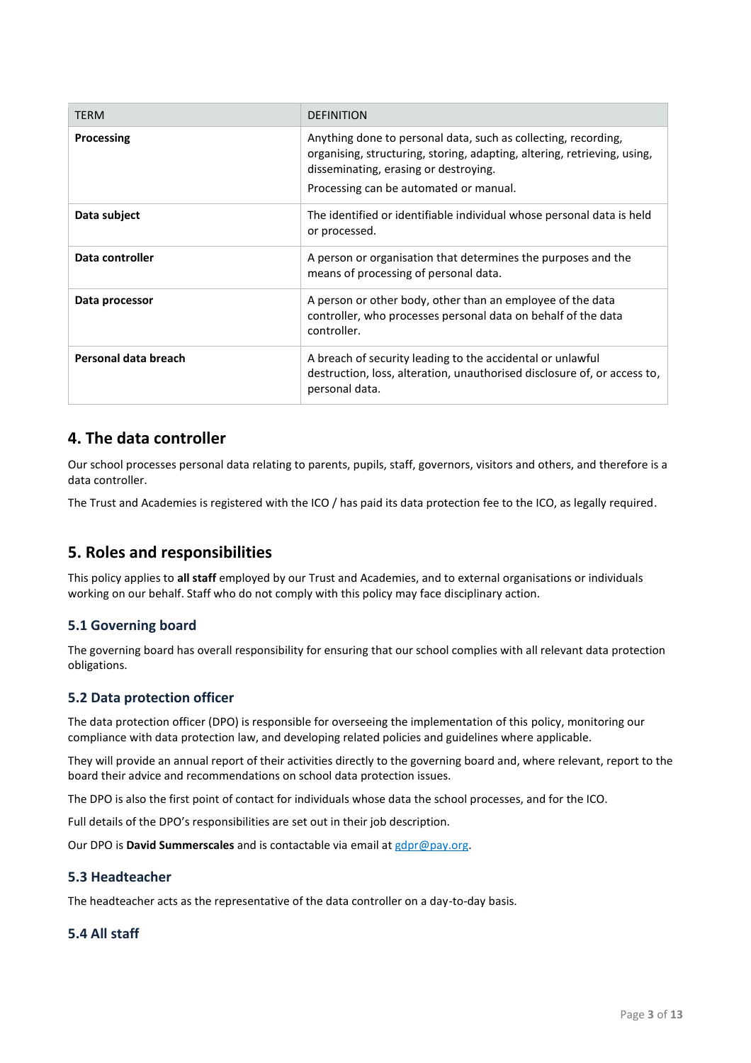| <b>TERM</b>          | <b>DEFINITION</b>                                                                                                                                                                                                             |
|----------------------|-------------------------------------------------------------------------------------------------------------------------------------------------------------------------------------------------------------------------------|
| Processing           | Anything done to personal data, such as collecting, recording,<br>organising, structuring, storing, adapting, altering, retrieving, using,<br>disseminating, erasing or destroying.<br>Processing can be automated or manual. |
| Data subject         | The identified or identifiable individual whose personal data is held<br>or processed.                                                                                                                                        |
| Data controller      | A person or organisation that determines the purposes and the<br>means of processing of personal data.                                                                                                                        |
| Data processor       | A person or other body, other than an employee of the data<br>controller, who processes personal data on behalf of the data<br>controller.                                                                                    |
| Personal data breach | A breach of security leading to the accidental or unlawful<br>destruction, loss, alteration, unauthorised disclosure of, or access to,<br>personal data.                                                                      |

## <span id="page-3-0"></span>**4. The data controller**

Our school processes personal data relating to parents, pupils, staff, governors, visitors and others, and therefore is a data controller.

The Trust and Academies is registered with the ICO / has paid its data protection fee to the ICO, as legally required.

## <span id="page-3-1"></span>**5. Roles and responsibilities**

This policy applies to **all staff** employed by our Trust and Academies, and to external organisations or individuals working on our behalf. Staff who do not comply with this policy may face disciplinary action.

#### **5.1 Governing board**

The governing board has overall responsibility for ensuring that our school complies with all relevant data protection obligations.

#### **5.2 Data protection officer**

The data protection officer (DPO) is responsible for overseeing the implementation of this policy, monitoring our compliance with data protection law, and developing related policies and guidelines where applicable.

They will provide an annual report of their activities directly to the governing board and, where relevant, report to the board their advice and recommendations on school data protection issues.

The DPO is also the first point of contact for individuals whose data the school processes, and for the ICO.

Full details of the DPO's responsibilities are set out in their job description.

Our DPO is **David Summerscales** and is contactable via email at [gdpr@pay.org.](mailto:gdpr@pay.org)

#### **5.3 Headteacher**

The headteacher acts as the representative of the data controller on a day-to-day basis.

## **5.4 All staff**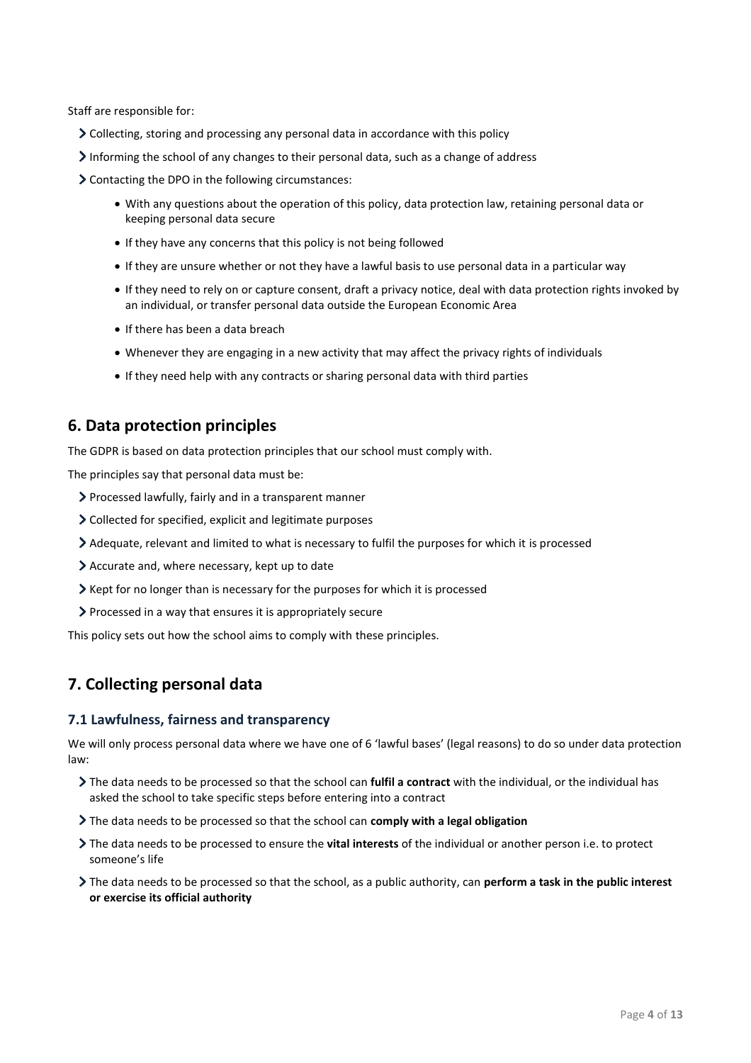Staff are responsible for:

- Collecting, storing and processing any personal data in accordance with this policy
- Informing the school of any changes to their personal data, such as a change of address

Contacting the DPO in the following circumstances:

- With any questions about the operation of this policy, data protection law, retaining personal data or keeping personal data secure
- If they have any concerns that this policy is not being followed
- If they are unsure whether or not they have a lawful basis to use personal data in a particular way
- If they need to rely on or capture consent, draft a privacy notice, deal with data protection rights invoked by an individual, or transfer personal data outside the European Economic Area
- If there has been a data breach
- Whenever they are engaging in a new activity that may affect the privacy rights of individuals
- If they need help with any contracts or sharing personal data with third parties

## <span id="page-4-0"></span>**6. Data protection principles**

The GDPR is based on data protection principles that our school must comply with.

The principles say that personal data must be:

- Processed lawfully, fairly and in a transparent manner
- Collected for specified, explicit and legitimate purposes
- Adequate, relevant and limited to what is necessary to fulfil the purposes for which it is processed
- Accurate and, where necessary, kept up to date
- $\triangleright$  Kept for no longer than is necessary for the purposes for which it is processed
- Processed in a way that ensures it is appropriately secure

This policy sets out how the school aims to comply with these principles.

## <span id="page-4-1"></span>**7. Collecting personal data**

#### **7.1 Lawfulness, fairness and transparency**

We will only process personal data where we have one of 6 'lawful bases' (legal reasons) to do so under data protection law:

- The data needs to be processed so that the school can **fulfil a contract** with the individual, or the individual has asked the school to take specific steps before entering into a contract
- The data needs to be processed so that the school can **comply with a legal obligation**
- The data needs to be processed to ensure the **vital interests** of the individual or another person i.e. to protect someone's life
- The data needs to be processed so that the school, as a public authority, can **perform a task in the public interest or exercise its official authority**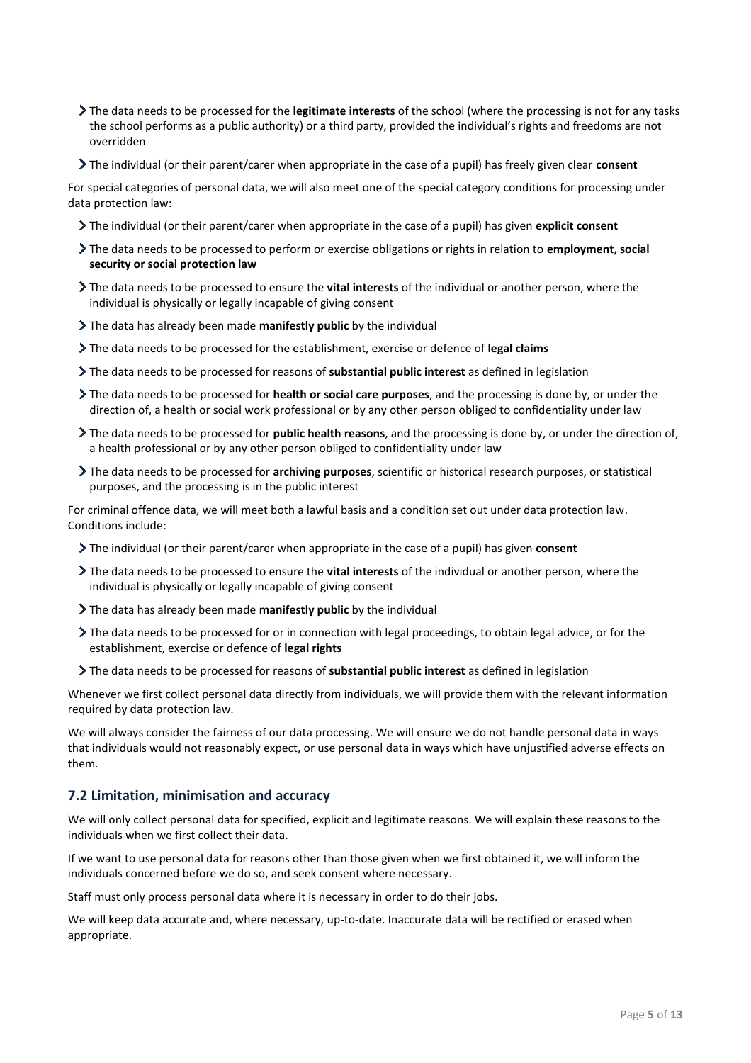- The data needs to be processed for the **legitimate interests** of the school (where the processing is not for any tasks the school performs as a public authority) or a third party, provided the individual's rights and freedoms are not overridden
- The individual (or their parent/carer when appropriate in the case of a pupil) has freely given clear **consent**

For special categories of personal data, we will also meet one of the special category conditions for processing under data protection law:

- The individual (or their parent/carer when appropriate in the case of a pupil) has given **explicit consent**
- The data needs to be processed to perform or exercise obligations or rights in relation to **employment, social security or social protection law**
- The data needs to be processed to ensure the **vital interests** of the individual or another person, where the individual is physically or legally incapable of giving consent
- The data has already been made **manifestly public** by the individual
- The data needs to be processed for the establishment, exercise or defence of **legal claims**
- The data needs to be processed for reasons of **substantial public interest** as defined in legislation
- The data needs to be processed for **health or social care purposes**, and the processing is done by, or under the direction of, a health or social work professional or by any other person obliged to confidentiality under law
- The data needs to be processed for **public health reasons**, and the processing is done by, or under the direction of, a health professional or by any other person obliged to confidentiality under law
- The data needs to be processed for **archiving purposes**, scientific or historical research purposes, or statistical purposes, and the processing is in the public interest

For criminal offence data, we will meet both a lawful basis and a condition set out under data protection law. Conditions include:

- The individual (or their parent/carer when appropriate in the case of a pupil) has given **consent**
- The data needs to be processed to ensure the **vital interests** of the individual or another person, where the individual is physically or legally incapable of giving consent
- The data has already been made **manifestly public** by the individual
- The data needs to be processed for or in connection with legal proceedings, to obtain legal advice, or for the establishment, exercise or defence of **legal rights**
- The data needs to be processed for reasons of **substantial public interest** as defined in legislation

Whenever we first collect personal data directly from individuals, we will provide them with the relevant information required by data protection law.

We will always consider the fairness of our data processing. We will ensure we do not handle personal data in ways that individuals would not reasonably expect, or use personal data in ways which have unjustified adverse effects on them.

#### **7.2 Limitation, minimisation and accuracy**

We will only collect personal data for specified, explicit and legitimate reasons. We will explain these reasons to the individuals when we first collect their data.

If we want to use personal data for reasons other than those given when we first obtained it, we will inform the individuals concerned before we do so, and seek consent where necessary.

Staff must only process personal data where it is necessary in order to do their jobs.

We will keep data accurate and, where necessary, up-to-date. Inaccurate data will be rectified or erased when appropriate.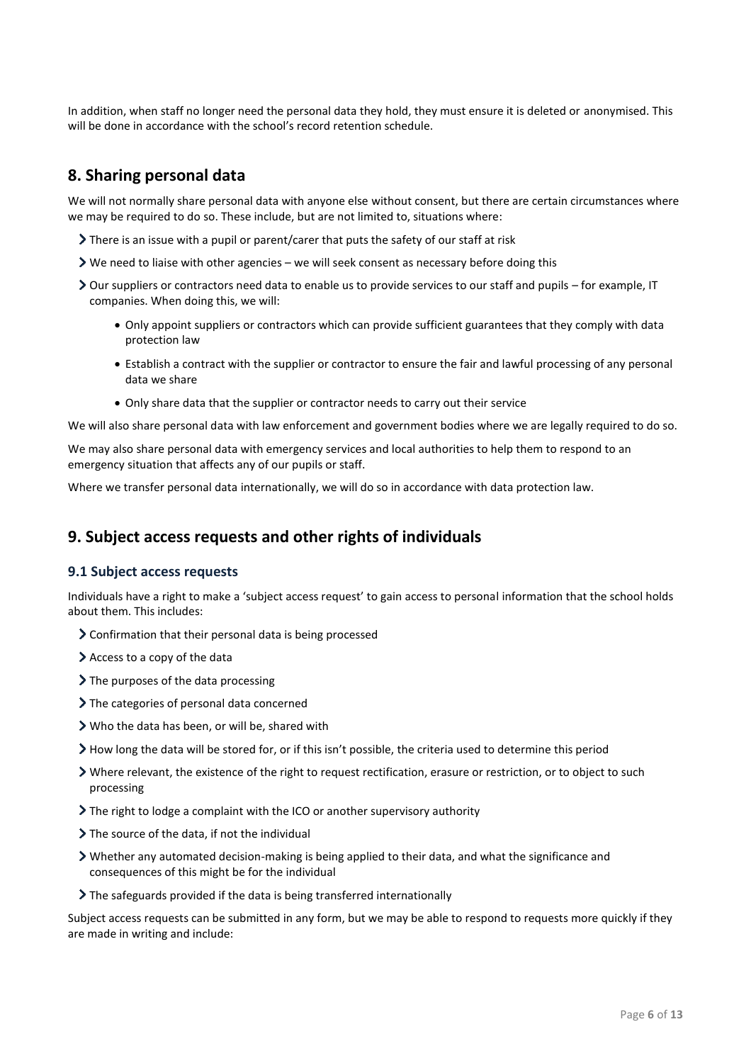In addition, when staff no longer need the personal data they hold, they must ensure it is deleted or anonymised. This will be done in accordance with the school's record retention schedule.

# <span id="page-6-0"></span>**8. Sharing personal data**

We will not normally share personal data with anyone else without consent, but there are certain circumstances where we may be required to do so. These include, but are not limited to, situations where:

- There is an issue with a pupil or parent/carer that puts the safety of our staff at risk
- $\triangleright$  We need to liaise with other agencies we will seek consent as necessary before doing this
- Our suppliers or contractors need data to enable us to provide services to our staff and pupils for example, IT companies. When doing this, we will:
	- Only appoint suppliers or contractors which can provide sufficient guarantees that they comply with data protection law
	- Establish a contract with the supplier or contractor to ensure the fair and lawful processing of any personal data we share
	- Only share data that the supplier or contractor needs to carry out their service

We will also share personal data with law enforcement and government bodies where we are legally required to do so.

We may also share personal data with emergency services and local authorities to help them to respond to an emergency situation that affects any of our pupils or staff.

Where we transfer personal data internationally, we will do so in accordance with data protection law.

# <span id="page-6-1"></span>**9. Subject access requests and other rights of individuals**

#### **9.1 Subject access requests**

Individuals have a right to make a 'subject access request' to gain access to personal information that the school holds about them. This includes:

- Confirmation that their personal data is being processed
- Access to a copy of the data
- $\sum$  The purposes of the data processing
- > The categories of personal data concerned
- Who the data has been, or will be, shared with
- How long the data will be stored for, or if this isn't possible, the criteria used to determine this period
- Where relevant, the existence of the right to request rectification, erasure or restriction, or to object to such processing
- $\sum$  The right to lodge a complaint with the ICO or another supervisory authority
- The source of the data, if not the individual
- Whether any automated decision-making is being applied to their data, and what the significance and consequences of this might be for the individual
- The safeguards provided if the data is being transferred internationally

Subject access requests can be submitted in any form, but we may be able to respond to requests more quickly if they are made in writing and include: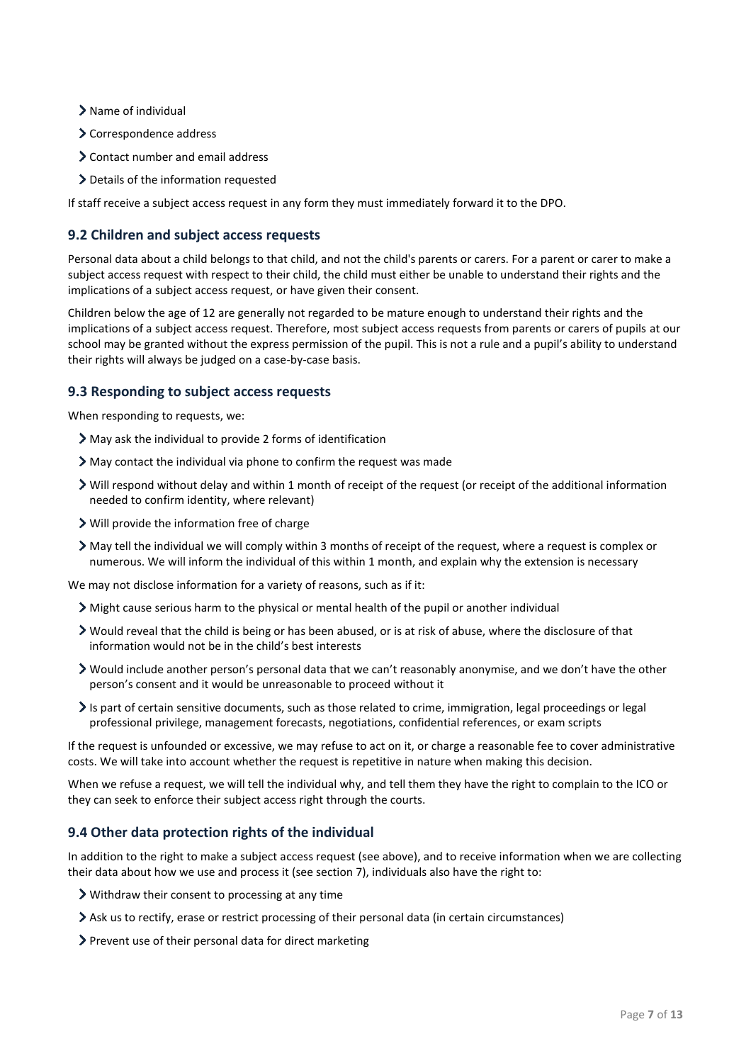- > Name of individual
- > Correspondence address
- Contact number and email address
- Details of the information requested

If staff receive a subject access request in any form they must immediately forward it to the DPO.

#### **9.2 Children and subject access requests**

Personal data about a child belongs to that child, and not the child's parents or carers. For a parent or carer to make a subject access request with respect to their child, the child must either be unable to understand their rights and the implications of a subject access request, or have given their consent.

Children below the age of 12 are generally not regarded to be mature enough to understand their rights and the implications of a subject access request. Therefore, most subject access requests from parents or carers of pupils at our school may be granted without the express permission of the pupil. This is not a rule and a pupil's ability to understand their rights will always be judged on a case-by-case basis.

#### **9.3 Responding to subject access requests**

When responding to requests, we:

- May ask the individual to provide 2 forms of identification
- May contact the individual via phone to confirm the request was made
- Will respond without delay and within 1 month of receipt of the request (or receipt of the additional information needed to confirm identity, where relevant)
- Will provide the information free of charge
- May tell the individual we will comply within 3 months of receipt of the request, where a request is complex or numerous. We will inform the individual of this within 1 month, and explain why the extension is necessary

We may not disclose information for a variety of reasons, such as if it:

- Might cause serious harm to the physical or mental health of the pupil or another individual
- Would reveal that the child is being or has been abused, or is at risk of abuse, where the disclosure of that information would not be in the child's best interests
- Would include another person's personal data that we can't reasonably anonymise, and we don't have the other person's consent and it would be unreasonable to proceed without it
- Is part of certain sensitive documents, such as those related to crime, immigration, legal proceedings or legal professional privilege, management forecasts, negotiations, confidential references, or exam scripts

If the request is unfounded or excessive, we may refuse to act on it, or charge a reasonable fee to cover administrative costs. We will take into account whether the request is repetitive in nature when making this decision.

When we refuse a request, we will tell the individual why, and tell them they have the right to complain to the ICO or they can seek to enforce their subject access right through the courts.

#### **9.4 Other data protection rights of the individual**

In addition to the right to make a subject access request (see above), and to receive information when we are collecting their data about how we use and process it (see section 7), individuals also have the right to:

- Withdraw their consent to processing at any time
- Ask us to rectify, erase or restrict processing of their personal data (in certain circumstances)
- Prevent use of their personal data for direct marketing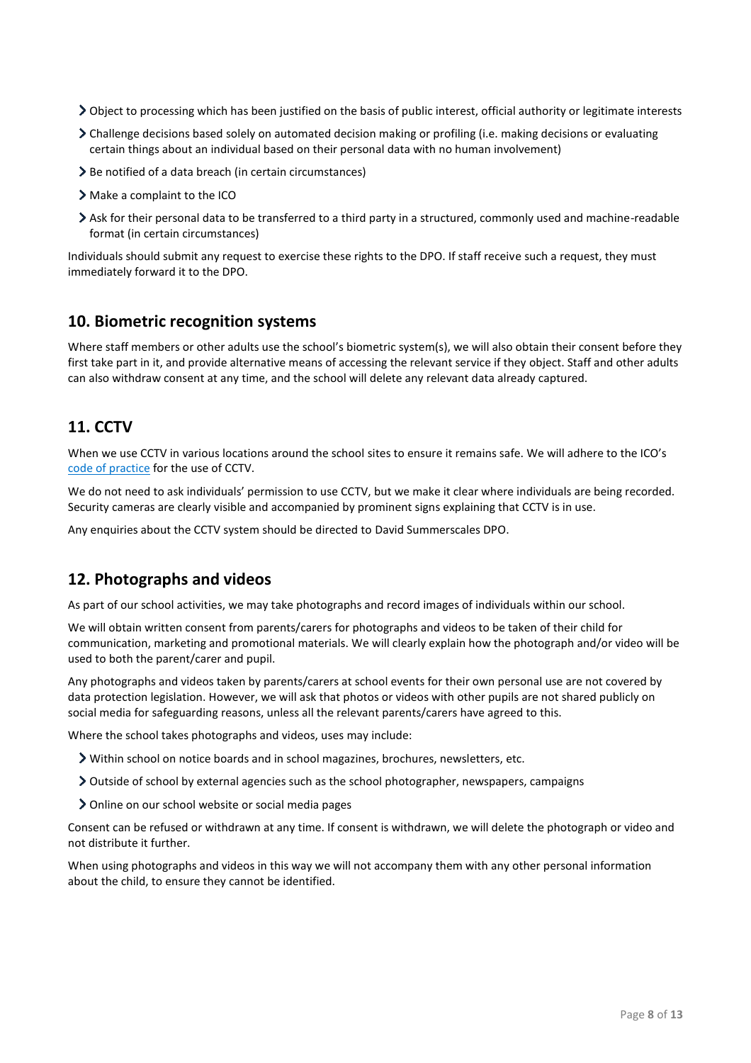- $\geq$  Object to processing which has been justified on the basis of public interest, official authority or legitimate interests
- Challenge decisions based solely on automated decision making or profiling (i.e. making decisions or evaluating certain things about an individual based on their personal data with no human involvement)
- > Be notified of a data breach (in certain circumstances)
- Make a complaint to the ICO
- Ask for their personal data to be transferred to a third party in a structured, commonly used and machine-readable format (in certain circumstances)

Individuals should submit any request to exercise these rights to the DPO. If staff receive such a request, they must immediately forward it to the DPO.

## <span id="page-8-0"></span>**10. Biometric recognition systems**

Where staff members or other adults use the school's biometric system(s), we will also obtain their consent before they first take part in it, and provide alternative means of accessing the relevant service if they object. Staff and other adults can also withdraw consent at any time, and the school will delete any relevant data already captured.

## <span id="page-8-1"></span>**11. CCTV**

When we use CCTV in various locations around the school sites to ensure it remains safe. We will adhere to the ICO's [code of practice](https://ico.org.uk/media/for-organisations/documents/1542/cctv-code-of-practice.pdf) for the use of CCTV.

We do not need to ask individuals' permission to use CCTV, but we make it clear where individuals are being recorded. Security cameras are clearly visible and accompanied by prominent signs explaining that CCTV is in use.

Any enquiries about the CCTV system should be directed to David Summerscales DPO.

## <span id="page-8-2"></span>**12. Photographs and videos**

As part of our school activities, we may take photographs and record images of individuals within our school.

We will obtain written consent from parents/carers for photographs and videos to be taken of their child for communication, marketing and promotional materials. We will clearly explain how the photograph and/or video will be used to both the parent/carer and pupil.

Any photographs and videos taken by parents/carers at school events for their own personal use are not covered by data protection legislation. However, we will ask that photos or videos with other pupils are not shared publicly on social media for safeguarding reasons, unless all the relevant parents/carers have agreed to this.

Where the school takes photographs and videos, uses may include:

- Within school on notice boards and in school magazines, brochures, newsletters, etc.
- Outside of school by external agencies such as the school photographer, newspapers, campaigns
- Online on our school website or social media pages

Consent can be refused or withdrawn at any time. If consent is withdrawn, we will delete the photograph or video and not distribute it further.

When using photographs and videos in this way we will not accompany them with any other personal information about the child, to ensure they cannot be identified.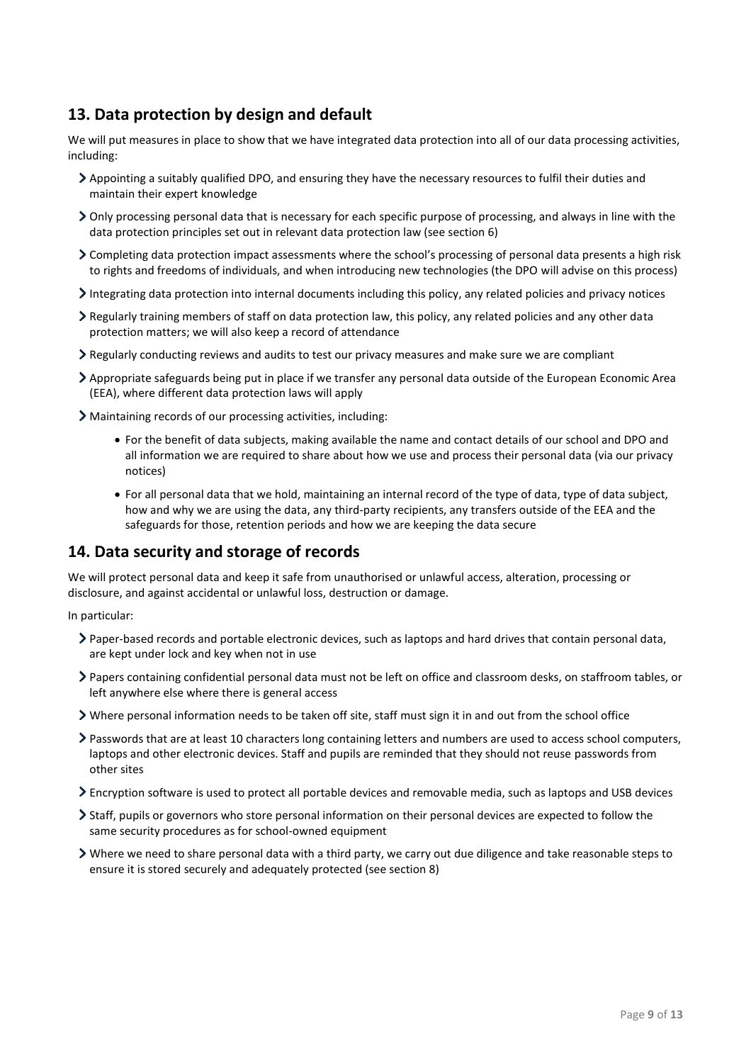# <span id="page-9-0"></span>**13. Data protection by design and default**

We will put measures in place to show that we have integrated data protection into all of our data processing activities, including:

- Appointing a suitably qualified DPO, and ensuring they have the necessary resources to fulfil their duties and maintain their expert knowledge
- Only processing personal data that is necessary for each specific purpose of processing, and always in line with the data protection principles set out in relevant data protection law (see section 6)
- Completing data protection impact assessments where the school's processing of personal data presents a high risk to rights and freedoms of individuals, and when introducing new technologies (the DPO will advise on this process)
- Integrating data protection into internal documents including this policy, any related policies and privacy notices
- Regularly training members of staff on data protection law, this policy, any related policies and any other data protection matters; we will also keep a record of attendance
- Regularly conducting reviews and audits to test our privacy measures and make sure we are compliant
- Appropriate safeguards being put in place if we transfer any personal data outside of the European Economic Area (EEA), where different data protection laws will apply
- Maintaining records of our processing activities, including:
	- For the benefit of data subjects, making available the name and contact details of our school and DPO and all information we are required to share about how we use and process their personal data (via our privacy notices)
	- For all personal data that we hold, maintaining an internal record of the type of data, type of data subject, how and why we are using the data, any third-party recipients, any transfers outside of the EEA and the safeguards for those, retention periods and how we are keeping the data secure

## <span id="page-9-1"></span>**14. Data security and storage of records**

We will protect personal data and keep it safe from unauthorised or unlawful access, alteration, processing or disclosure, and against accidental or unlawful loss, destruction or damage.

In particular:

- Paper-based records and portable electronic devices, such as laptops and hard drives that contain personal data, are kept under lock and key when not in use
- Papers containing confidential personal data must not be left on office and classroom desks, on staffroom tables, or left anywhere else where there is general access
- Where personal information needs to be taken off site, staff must sign it in and out from the school office
- Passwords that are at least 10 characters long containing letters and numbers are used to access school computers, laptops and other electronic devices. Staff and pupils are reminded that they should not reuse passwords from other sites
- Encryption software is used to protect all portable devices and removable media, such as laptops and USB devices
- Staff, pupils or governors who store personal information on their personal devices are expected to follow the same security procedures as for school-owned equipment
- $\triangleright$  Where we need to share personal data with a third party, we carry out due diligence and take reasonable steps to ensure it is stored securely and adequately protected (see section 8)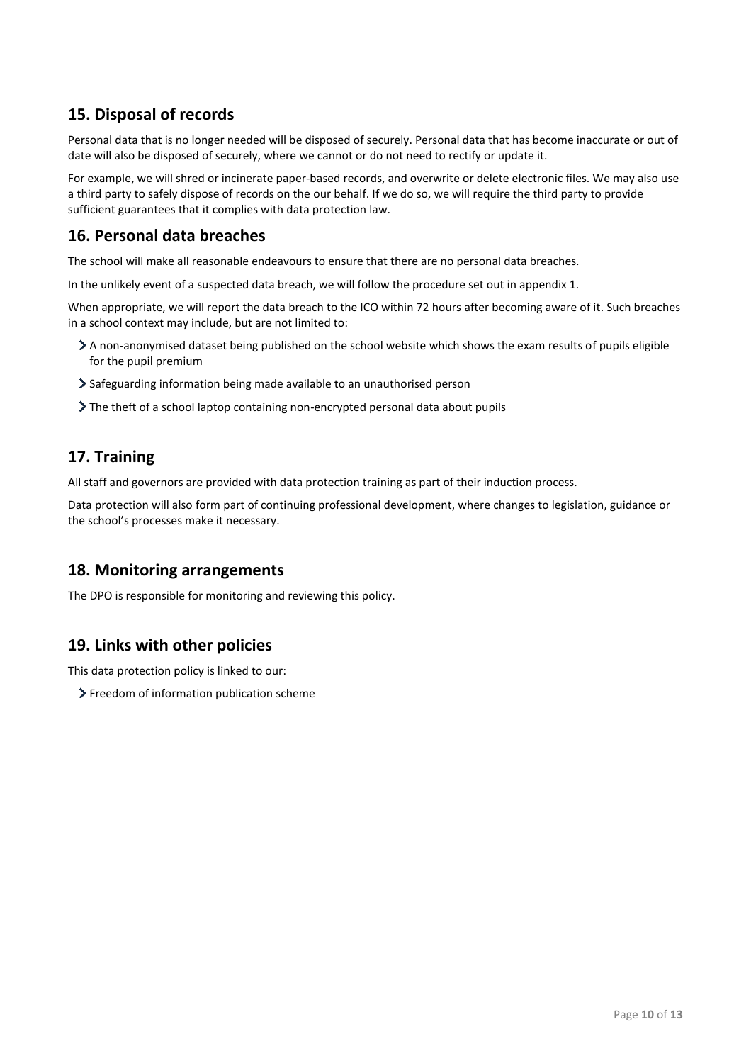# <span id="page-10-0"></span>**15. Disposal of records**

Personal data that is no longer needed will be disposed of securely. Personal data that has become inaccurate or out of date will also be disposed of securely, where we cannot or do not need to rectify or update it.

For example, we will shred or incinerate paper-based records, and overwrite or delete electronic files. We may also use a third party to safely dispose of records on the our behalf. If we do so, we will require the third party to provide sufficient guarantees that it complies with data protection law.

# <span id="page-10-1"></span>**16. Personal data breaches**

The school will make all reasonable endeavours to ensure that there are no personal data breaches.

In the unlikely event of a suspected data breach, we will follow the procedure set out in appendix 1.

When appropriate, we will report the data breach to the ICO within 72 hours after becoming aware of it. Such breaches in a school context may include, but are not limited to:

- A non-anonymised dataset being published on the school website which shows the exam results of pupils eligible for the pupil premium
- Safeguarding information being made available to an unauthorised person
- The theft of a school laptop containing non-encrypted personal data about pupils

# <span id="page-10-2"></span>**17. Training**

All staff and governors are provided with data protection training as part of their induction process.

Data protection will also form part of continuing professional development, where changes to legislation, guidance or the school's processes make it necessary.

## <span id="page-10-3"></span>**18. Monitoring arrangements**

The DPO is responsible for monitoring and reviewing this policy.

# <span id="page-10-4"></span>**19. Links with other policies**

This data protection policy is linked to our:

> Freedom of information publication scheme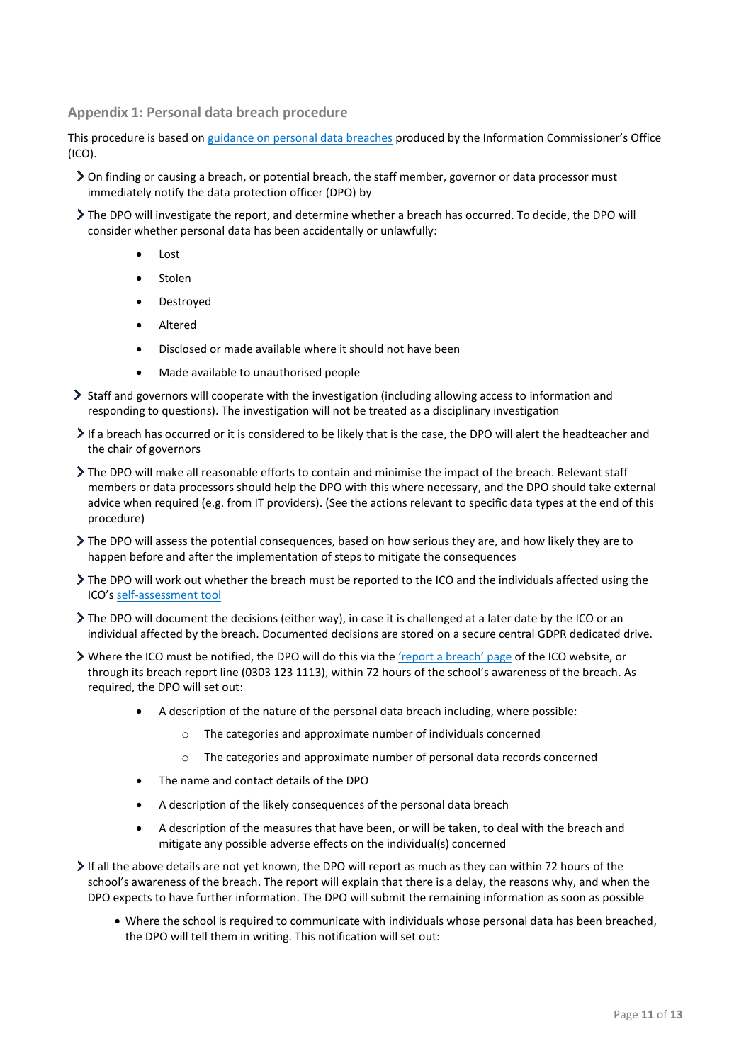<span id="page-11-0"></span>**Appendix 1: Personal data breach procedure**

This procedure is based o[n guidance on personal data breaches](https://ico.org.uk/for-organisations/guide-to-the-general-data-protection-regulation-gdpr/personal-data-breaches/) produced by the Information Commissioner's Office (ICO).

- On finding or causing a breach, or potential breach, the staff member, governor or data processor must immediately notify the data protection officer (DPO) by
- The DPO will investigate the report, and determine whether a breach has occurred. To decide, the DPO will consider whether personal data has been accidentally or unlawfully:
	- Lost
	- Stolen
	- Destroyed
	- Altered
	- Disclosed or made available where it should not have been
	- Made available to unauthorised people
- Staff and governors will cooperate with the investigation (including allowing access to information and responding to questions). The investigation will not be treated as a disciplinary investigation
- If a breach has occurred or it is considered to be likely that is the case, the DPO will alert the headteacher and the chair of governors
- The DPO will make all reasonable efforts to contain and minimise the impact of the breach. Relevant staff members or data processors should help the DPO with this where necessary, and the DPO should take external advice when required (e.g. from IT providers). (See the actions relevant to specific data types at the end of this procedure)
- The DPO will assess the potential consequences, based on how serious they are, and how likely they are to happen before and after the implementation of steps to mitigate the consequences
- The DPO will work out whether the breach must be reported to the ICO and the individuals affected using the ICO's [self-assessment tool](https://ico.org.uk/for-organisations/report-a-breach/personal-data-breach-assessment/)
- The DPO will document the decisions (either way), in case it is challenged at a later date by the ICO or an individual affected by the breach. Documented decisions are stored on a secure central GDPR dedicated drive.
- > Where the ICO must be notified, the DPO will do this via the ['report a breach' page](https://ico.org.uk/for-organisations/report-a-breach/) of the ICO website, or through its breach report line (0303 123 1113), within 72 hours of the school's awareness of the breach. As required, the DPO will set out:
	- A description of the nature of the personal data breach including, where possible:
		- o The categories and approximate number of individuals concerned
		- $\circ$  The categories and approximate number of personal data records concerned
	- The name and contact details of the DPO
	- A description of the likely consequences of the personal data breach
	- A description of the measures that have been, or will be taken, to deal with the breach and mitigate any possible adverse effects on the individual(s) concerned
- $\triangleright$  If all the above details are not yet known, the DPO will report as much as they can within 72 hours of the school's awareness of the breach. The report will explain that there is a delay, the reasons why, and when the DPO expects to have further information. The DPO will submit the remaining information as soon as possible
	- Where the school is required to communicate with individuals whose personal data has been breached, the DPO will tell them in writing. This notification will set out: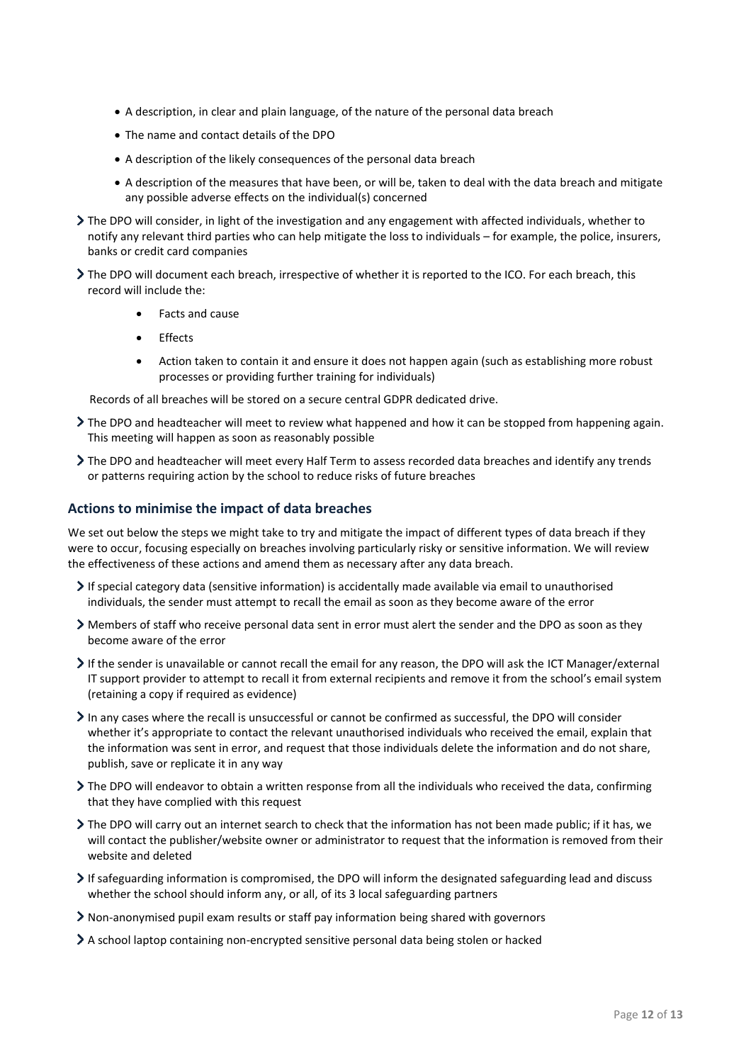- A description, in clear and plain language, of the nature of the personal data breach
- The name and contact details of the DPO
- A description of the likely consequences of the personal data breach
- A description of the measures that have been, or will be, taken to deal with the data breach and mitigate any possible adverse effects on the individual(s) concerned
- The DPO will consider, in light of the investigation and any engagement with affected individuals, whether to notify any relevant third parties who can help mitigate the loss to individuals – for example, the police, insurers, banks or credit card companies
- The DPO will document each breach, irrespective of whether it is reported to the ICO. For each breach, this record will include the:
	- Facts and cause
	- Effects
	- Action taken to contain it and ensure it does not happen again (such as establishing more robust processes or providing further training for individuals)

Records of all breaches will be stored on a secure central GDPR dedicated drive.

- The DPO and headteacher will meet to review what happened and how it can be stopped from happening again. This meeting will happen as soon as reasonably possible
- The DPO and headteacher will meet every Half Term to assess recorded data breaches and identify any trends or patterns requiring action by the school to reduce risks of future breaches

#### **Actions to minimise the impact of data breaches**

We set out below the steps we might take to try and mitigate the impact of different types of data breach if they were to occur, focusing especially on breaches involving particularly risky or sensitive information. We will review the effectiveness of these actions and amend them as necessary after any data breach.

- If special category data (sensitive information) is accidentally made available via email to unauthorised individuals, the sender must attempt to recall the email as soon as they become aware of the error
- Members of staff who receive personal data sent in error must alert the sender and the DPO as soon as they become aware of the error
- If the sender is unavailable or cannot recall the email for any reason, the DPO will ask the ICT Manager/external IT support provider to attempt to recall it from external recipients and remove it from the school's email system (retaining a copy if required as evidence)
- In any cases where the recall is unsuccessful or cannot be confirmed as successful, the DPO will consider whether it's appropriate to contact the relevant unauthorised individuals who received the email, explain that the information was sent in error, and request that those individuals delete the information and do not share, publish, save or replicate it in any way
- The DPO will endeavor to obtain a written response from all the individuals who received the data, confirming that they have complied with this request
- The DPO will carry out an internet search to check that the information has not been made public; if it has, we will contact the publisher/website owner or administrator to request that the information is removed from their website and deleted
- If safeguarding information is compromised, the DPO will inform the designated safeguarding lead and discuss whether the school should inform any, or all, of its 3 local safeguarding partners
- Non-anonymised pupil exam results or staff pay information being shared with governors
- A school laptop containing non-encrypted sensitive personal data being stolen or hacked